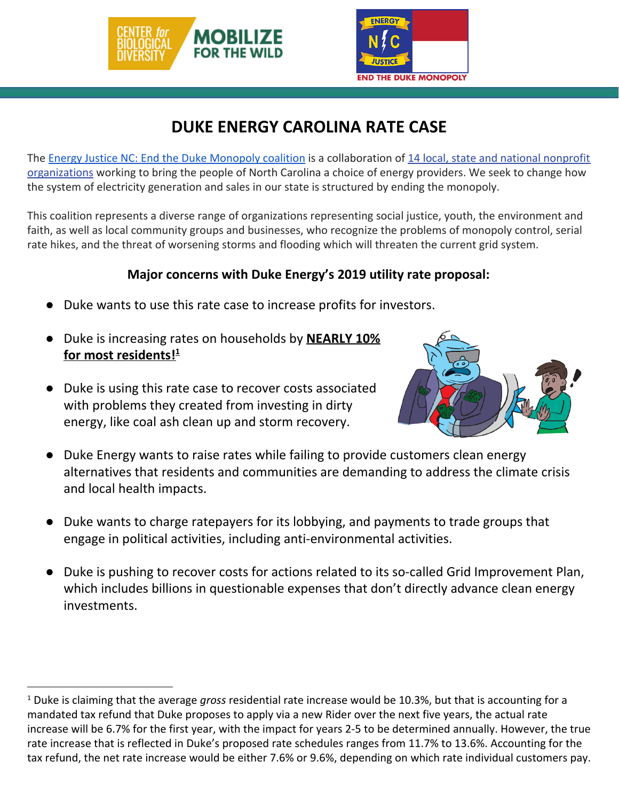



## **DUKE ENERGY CAROLINA RATE CASE**

The [Energy Justice NC: End the Duke Monopoly coalition](http://energyjusticenc.org/) is a collaboration of [14 local, state and national nonprofit](http://energyjusticenc.org/about/#members) [organizations](http://energyjusticenc.org/about/#members) working to bring the people of North Carolina a choice of energy providers. We seek to change how the system of electricity generation and sales in our state is structured by ending the monopoly.

This coalition represents a diverse range of organizations representing social justice, youth, the environment and faith, as well as local community groups and businesses, who recognize the problems of monopoly control, serial rate hikes, and the threat of worsening storms and flooding which will threaten the current grid system.

## **Major concerns with Duke Energy's 2019 utility rate proposal:**

- Duke wants to use this rate case to increase profits for investors.
- Duke is increasing rates on households by **NEARLY 10% for most residents! 1**
- Duke is using this rate case to recover costs associated with problems they created from investing in dirty energy, like coal ash clean up and storm recovery.



- Duke Energy wants to raise rates while failing to provide customers clean energy alternatives that residents and communities are demanding to address the climate crisis and local health impacts.
- Duke wants to charge ratepayers for its lobbying, and payments to trade groups that engage in political activities, including anti-environmental activities.
- Duke is pushing to recover costs for actions related to its so-called Grid Improvement Plan, which includes billions in questionable expenses that don't directly advance clean energy investments.

<sup>1</sup> Duke is claiming that the average *gross* residential rate increase would be 10.3%, but that is accounting for a mandated tax refund that Duke proposes to apply via a new Rider over the next five years, the actual rate increase will be 6.7% for the first year, with the impact for years 2-5 to be determined annually. However, the true rate increase that is reflected in Duke's proposed rate schedules ranges from 11.7% to 13.6%. Accounting for the tax refund, the net rate increase would be either 7.6% or 9.6%, depending on which rate individual customers pay.